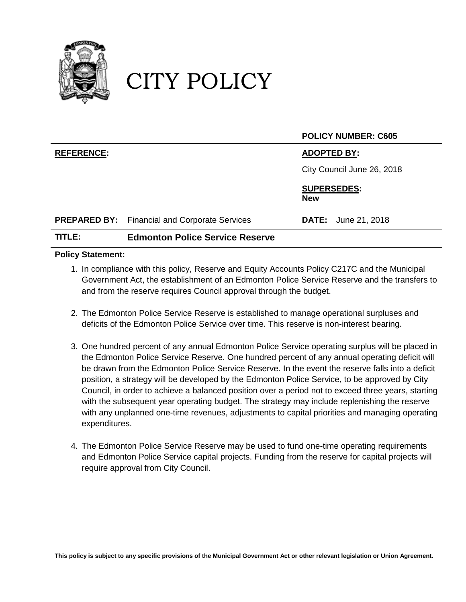

# CITY POLICY

|                   |                                                      | <b>POLICY NUMBER: C605</b>       |  |
|-------------------|------------------------------------------------------|----------------------------------|--|
| <b>REFERENCE:</b> |                                                      | <b>ADOPTED BY:</b>               |  |
|                   |                                                      | City Council June 26, 2018       |  |
|                   |                                                      | <b>SUPERSEDES:</b><br><b>New</b> |  |
|                   | <b>PREPARED BY:</b> Financial and Corporate Services | <b>DATE:</b> June 21, 2018       |  |
| TITLE:            | <b>Edmonton Police Service Reserve</b>               |                                  |  |

#### **Policy Statement:**

- 1. In compliance with this policy, Reserve and Equity Accounts Policy C217C and the Municipal Government Act, the establishment of an Edmonton Police Service Reserve and the transfers to and from the reserve requires Council approval through the budget.
- 2. The Edmonton Police Service Reserve is established to manage operational surpluses and deficits of the Edmonton Police Service over time. This reserve is non-interest bearing.
- 3. One hundred percent of any annual Edmonton Police Service operating surplus will be placed in the Edmonton Police Service Reserve. One hundred percent of any annual operating deficit will be drawn from the Edmonton Police Service Reserve. In the event the reserve falls into a deficit position, a strategy will be developed by the Edmonton Police Service, to be approved by City Council, in order to achieve a balanced position over a period not to exceed three years, starting with the subsequent year operating budget. The strategy may include replenishing the reserve with any unplanned one-time revenues, adjustments to capital priorities and managing operating expenditures.
- 4. The Edmonton Police Service Reserve may be used to fund one-time operating requirements and Edmonton Police Service capital projects. Funding from the reserve for capital projects will require approval from City Council.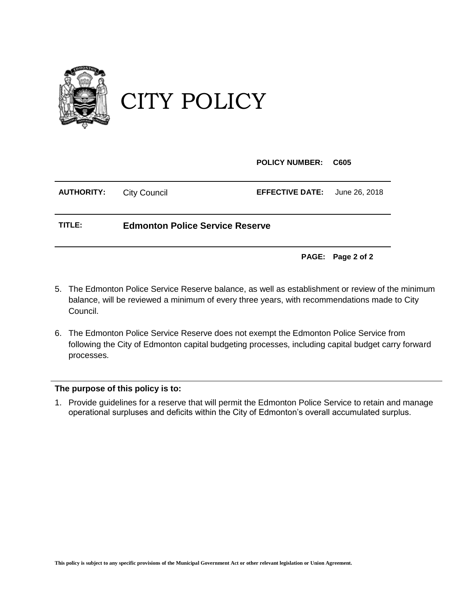

## CITY POLICY

**POLICY NUMBER: C605**

| <b>AUTHORITY:</b> | City Council                           | <b>EFFECTIVE DATE:</b> June 26, 2018 |  |
|-------------------|----------------------------------------|--------------------------------------|--|
| TITLE:            | <b>Edmonton Police Service Reserve</b> |                                      |  |

**PAGE: Page 2 of 2**

- 5. The Edmonton Police Service Reserve balance, as well as establishment or review of the minimum balance, will be reviewed a minimum of every three years, with recommendations made to City Council.
- 6. The Edmonton Police Service Reserve does not exempt the Edmonton Police Service from following the City of Edmonton capital budgeting processes, including capital budget carry forward processes.

### **The purpose of this policy is to:**

1. Provide guidelines for a reserve that will permit the Edmonton Police Service to retain and manage operational surpluses and deficits within the City of Edmonton's overall accumulated surplus.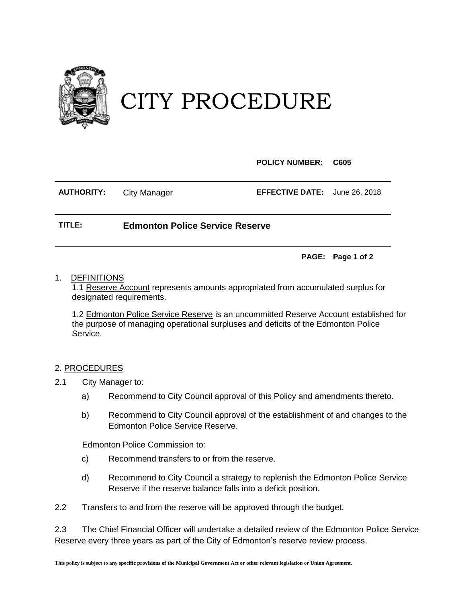

### CITY PROCEDURE

**POLICY NUMBER: C605**

**AUTHORITY:** City Manager **EFFECTIVE DATE:** June 26, 2018

**TITLE: Edmonton Police Service Reserve**

**PAGE: Page 1 of 2**

### 1. DEFINITIONS

1.1 Reserve Account represents amounts appropriated from accumulated surplus for designated requirements.

1.2 Edmonton Police Service Reserve is an uncommitted Reserve Account established for the purpose of managing operational surpluses and deficits of the Edmonton Police Service.

### 2. PROCEDURES

- 2.1 City Manager to:
	- a) Recommend to City Council approval of this Policy and amendments thereto.
	- b) Recommend to City Council approval of the establishment of and changes to the Edmonton Police Service Reserve.

Edmonton Police Commission to:

- c) Recommend transfers to or from the reserve.
- d) Recommend to City Council a strategy to replenish the Edmonton Police Service Reserve if the reserve balance falls into a deficit position.

2.2 Transfers to and from the reserve will be approved through the budget.

2.3 The Chief Financial Officer will undertake a detailed review of the Edmonton Police Service Reserve every three years as part of the City of Edmonton's reserve review process.